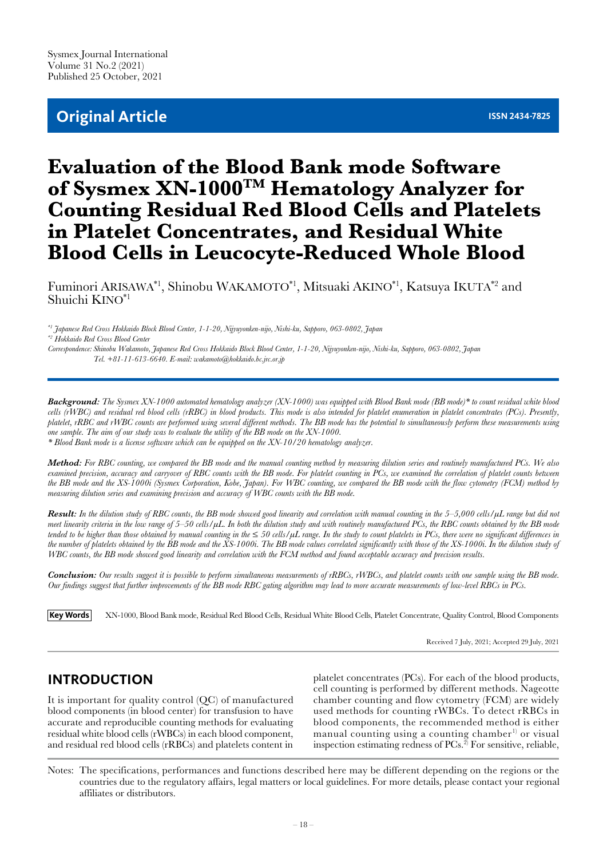## **Original Article ISSN 2434-7825**

# **Evaluation of the Blood Bank mode Software of Sysmex XN-1000TM Hematology Analyzer for Counting Residual Red Blood Cells and Platelets in Platelet Concentrates, and Residual White Blood Cells in Leucocyte-Reduced Whole Blood**

Fuminori ARISAWA\*1, Shinobu WAKAMOTO\*1, Mitsuaki AKINO\*1, Katsuya IKUTA\*2 and Shuichi KINO\*1

*\*1 Japanese Red Cross Hokkaido Block Blood Center, 1-1-20, Nijyuyonken-nijo, Nishi-ku, Sapporo, 063-0802, Japan \*2 Hokkaido Red Cross Blood Center*

*Correspondence: Shinobu Wakamoto, Japanese Red Cross Hokkaido Block Blood Center, 1-1-20, Nijyuyonken-nijo, Nishi-ku, Sapporo, 063-0802, Japan Tel. +81-11-613-6640. E-mail: wakamoto@hokkaido.bc.jrc.or.jp*

*Background: The Sysmex XN-1000 automated hematology analyzer (XN-1000) was equipped with Blood Bank mode (BB mode)\* to count residual white blood cells (rWBC) and residual red blood cells (rRBC) in blood products. This mode is also intended for platelet enumeration in platelet concentrates (PCs). Presently, platelet, rRBC and rWBC counts are performed using several different methods. The BB mode has the potential to simultaneously perform these measurements using one sample. The aim of our study was to evaluate the utility of the BB mode on the XN-1000. \* Blood Bank mode is a license software which can be equipped on the XN-10/20 hematology analyzer.*

*Method: For RBC counting, we compared the BB mode and the manual counting method by measuring dilution series and routinely manufactured PCs. We also*  examined precision, accuracy and carryover of RBC counts with the BB mode. For platelet counting in PCs, we examined the correlation of platelet counts between *the BB mode and the XS-1000i (Sysmex Corporation, Kobe, Japan). For WBC counting, we compared the BB mode with the flow cytometry (FCM) method by measuring dilution series and examining precision and accuracy of WBC counts with the BB mode.*

*Result: In the dilution study of RBC counts, the BB mode showed good linearity and correlation with manual counting in the 5–5,000 cells/µL range but did not meet linearity criteria in the low range of 5–50 cells/µL. In both the dilution study and with routinely manufactured PCs, the RBC counts obtained by the BB mode*  tended to be higher than those obtained by manual counting in the  $\leq$  50 cells/ $\mu$ L range. In the study to count platelets in PCs, there were no significant differences in *the number of platelets obtained by the BB mode and the XS-1000i. The BB mode values correlated significantly with those of the XS-1000i. In the dilution study of WBC counts, the BB mode showed good linearity and correlation with the FCM method and found acceptable accuracy and precision results.* 

*Conclusion: Our results suggest it is possible to perform simultaneous measurements of rRBCs, rWBCs, and platelet counts with one sample using the BB mode. Our findings suggest that further improvements of the BB mode RBC gating algorithm may lead to more accurate measurements of low-level RBCs in PCs.*

**Key Words** XN-1000, Blood Bank mode, Residual Red Blood Cells, Residual White Blood Cells, Platelet Concentrate, Quality Control, Blood Components

Received 7 July, 2021; Accepted 29 July, 2021

### **INTRODUCTION**

It is important for quality control (QC) of manufactured blood components (in blood center) for transfusion to have accurate and reproducible counting methods for evaluating residual white blood cells (rWBCs) in each blood component, and residual red blood cells (rRBCs) and platelets content in

platelet concentrates (PCs). For each of the blood products, cell counting is performed by different methods. Nageotte chamber counting and flow cytometry (FCM) are widely used methods for counting rWBCs. To detect rRBCs in blood components, the recommended method is either manual counting using a counting chamber<sup>1)</sup> or visual inspection estimating redness of  $PCs<sup>2</sup>$  For sensitive, reliable,

Notes: The specifications, performances and functions described here may be different depending on the regions or the countries due to the regulatory affairs, legal matters or local guidelines. For more details, please contact your regional affiliates or distributors.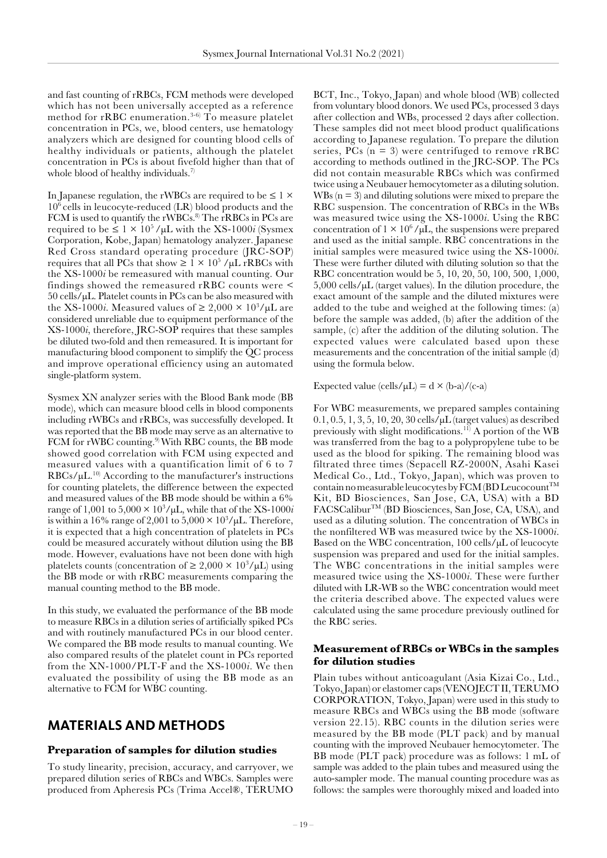and fast counting of rRBCs, FCM methods were developed which has not been universally accepted as a reference method for rRBC enumeration.<sup>3-6)</sup> To measure platelet concentration in PCs, we, blood centers, use hematology analyzers which are designed for counting blood cells of healthy individuals or patients, although the platelet concentration in PCs is about fivefold higher than that of whole blood of healthy individuals.<sup>7)</sup>

In Japanese regulation, the rWBCs are required to be  $\leq 1 \times$  $10^6$  cells in leucocyte-reduced (LR) blood products and the FCM is used to quantify the rWBCs.<sup>8)</sup> The rRBCs in PCs are required to be  $\leq 1 \times 10^5$  / $\mu$ L with the XS-1000*i* (Sysmex Corporation, Kobe, Japan) hematology analyzer. Japanese Red Cross standard operating procedure (JRC-SOP) requires that all PCs that show  $\geq 1 \times 10^5$  / $\mu$ L rRBCs with the XS-1000*i* be remeasured with manual counting. Our findings showed the remeasured rRBC counts were <  $50$  cells/ $\mu$ L. Platelet counts in PCs can be also measured with the XS-1000*i*. Measured values of  $\geq 2,000 \times 10^3/\mu L$  are considered unreliable due to equipment performance of the XS-1000*i*, therefore, JRC-SOP requires that these samples be diluted two-fold and then remeasured. It is important for manufacturing blood component to simplify the QC process and improve operational efficiency using an automated single-platform system.

Sysmex XN analyzer series with the Blood Bank mode (BB mode), which can measure blood cells in blood components including rWBCs and rRBCs, was successfully developed. It was reported that the BB mode may serve as an alternative to FCM for rWBC counting.<sup>9)</sup> With RBC counts, the BB mode showed good correlation with FCM using expected and measured values with a quantification limit of 6 to 7  $RBCs/\mu L^{10}$  According to the manufacturer's instructions for counting platelets, the difference between the expected and measured values of the BB mode should be within a 6% range of  $1,001$  to  $5,000 \times 10^3/\mu L$ , while that of the XS-1000*i* is within a 16% range of 2,001 to  $5,000 \times 10^3/\mu L$ . Therefore, it is expected that a high concentration of platelets in PCs could be measured accurately without dilution using the BB mode. However, evaluations have not been done with high platelets counts (concentration of  $\geq 2,000 \times 10^3/\mu L$ ) using the BB mode or with rRBC measurements comparing the manual counting method to the BB mode.

In this study, we evaluated the performance of the BB mode to measure RBCs in a dilution series of artificially spiked PCs and with routinely manufactured PCs in our blood center. We compared the BB mode results to manual counting. We also compared results of the platelet count in PCs reported from the XN-1000/PLT-F and the XS-1000*i*. We then evaluated the possibility of using the BB mode as an alternative to FCM for WBC counting.

### **MATERIALS AND METHODS**

### **Preparation of samples for dilution studies**

To study linearity, precision, accuracy, and carryover, we prepared dilution series of RBCs and WBCs. Samples were produced from Apheresis PCs (Trima Accel®, TERUMO BCT, Inc., Tokyo, Japan) and whole blood (WB) collected from voluntary blood donors. We used PCs, processed 3 days after collection and WBs, processed 2 days after collection. These samples did not meet blood product qualifications according to Japanese regulation. To prepare the dilution series,  $PCs$  ( $n = 3$ ) were centrifuged to remove rRBC according to methods outlined in the JRC-SOP. The PCs did not contain measurable RBCs which was confirmed twice using a Neubauer hemocytometer as a diluting solution. WBs  $(n = 3)$  and diluting solutions were mixed to prepare the RBC suspension. The concentration of RBCs in the WBs was measured twice using the XS-1000*i*. Using the RBC concentration of  $1 \times 10^6$ / $\mu$ L, the suspensions were prepared and used as the initial sample. RBC concentrations in the initial samples were measured twice using the XS-1000*i*. These were further diluted with diluting solution so that the RBC concentration would be 5, 10, 20, 50, 100, 500, 1,000, 5,000 cells/µL (target values). In the dilution procedure, the exact amount of the sample and the diluted mixtures were added to the tube and weighed at the following times: (a) before the sample was added, (b) after the addition of the sample, (c) after the addition of the diluting solution. The expected values were calculated based upon these measurements and the concentration of the initial sample (d) using the formula below.

Expected value (cells/ $\mu L$ ) = d  $\times$  (b-a)/(c-a)

For WBC measurements, we prepared samples containing  $0.1, 0.5, 1, 3, 5, 10, 20, 30$  cells/ $\mu$ L (target values) as described previously with slight modifications.<sup>11)</sup> A portion of the WB was transferred from the bag to a polypropylene tube to be used as the blood for spiking. The remaining blood was filtrated three times (Sepacell RZ-2000N, Asahi Kasei Medical Co., Ltd., Tokyo, Japan), which was proven to contain no measurable leucocytes by FCM (BD Leucocount<sup>TM</sup> Kit, BD Biosciences, San Jose, CA, USA) with a BD FACSCaliburTM (BD Biosciences, San Jose, CA, USA), and used as a diluting solution. The concentration of WBCs in the nonfiltered WB was measured twice by the XS-1000*i*. Based on the WBC concentration, 100 cells/µL of leucocyte suspension was prepared and used for the initial samples. The WBC concentrations in the initial samples were measured twice using the XS-1000*i*. These were further diluted with LR-WB so the WBC concentration would meet the criteria described above. The expected values were calculated using the same procedure previously outlined for the RBC series.

### **Measurement of RBCs or WBCs in the samples for dilution studies**

Plain tubes without anticoagulant (Asia Kizai Co., Ltd., Tokyo, Japan) or elastomer caps (VENOJECT II, TERUMO CORPORATION, Tokyo, Japan) were used in this study to measure RBCs and WBCs using the BB mode (software version 22.15). RBC counts in the dilution series were measured by the BB mode (PLT pack) and by manual counting with the improved Neubauer hemocytometer. The BB mode (PLT pack) procedure was as follows: 1 mL of sample was added to the plain tubes and measured using the auto-sampler mode. The manual counting procedure was as follows: the samples were thoroughly mixed and loaded into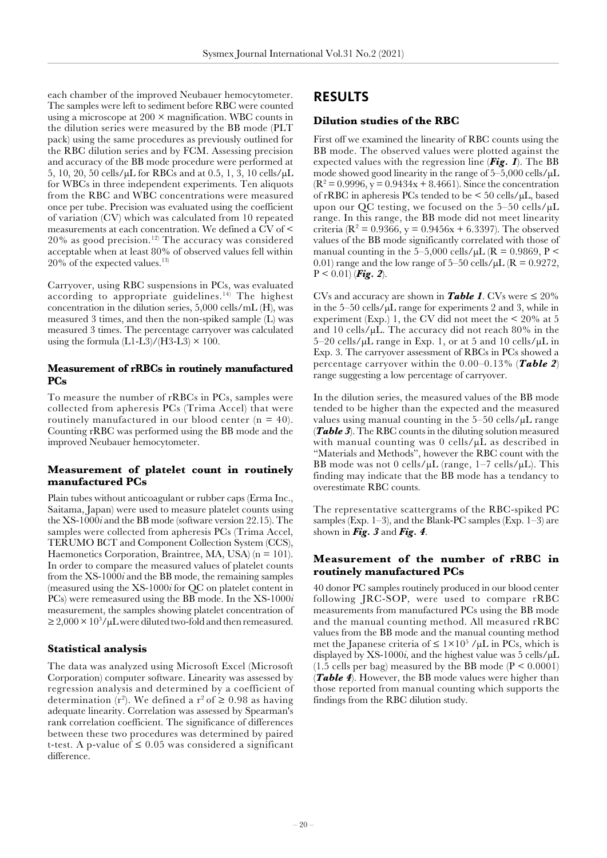each chamber of the improved Neubauer hemocytometer. The samples were left to sediment before RBC were counted using a microscope at  $200 \times$  magnification. WBC counts in the dilution series were measured by the BB mode (PLT pack) using the same procedures as previously outlined for the RBC dilution series and by FCM. Assessing precision and accuracy of the BB mode procedure were performed at 5, 10, 20, 50 cells/µL for RBCs and at 0.5, 1, 3, 10 cells/µL for WBCs in three independent experiments. Ten aliquots from the RBC and WBC concentrations were measured once per tube. Precision was evaluated using the coefficient of variation (CV) which was calculated from 10 repeated measurements at each concentration. We defined a CV of <  $20\%$  as good precision.<sup>12)</sup> The accuracy was considered acceptable when at least 80% of observed values fell within  $20\%$  of the expected values.<sup>13)</sup>

Carryover, using RBC suspensions in PCs, was evaluated according to appropriate guidelines.<sup>14)</sup> The highest concentration in the dilution series, 5,000 cells/mL (H), was measured 3 times, and then the non-spiked sample (L) was measured 3 times. The percentage carryover was calculated using the formula  $(L1-L3)/(H3-L3) \times 100$ .

### **Measurement of rRBCs in routinely manufactured PCs**

To measure the number of rRBCs in PCs, samples were collected from apheresis PCs (Trima Accel) that were routinely manufactured in our blood center  $(n = 40)$ . Counting rRBC was performed using the BB mode and the improved Neubauer hemocytometer.

### **Measurement of platelet count in routinely manufactured PCs**

Plain tubes without anticoagulant or rubber caps (Erma Inc., Saitama, Japan) were used to measure platelet counts using the XS-1000*i* and the BB mode (software version 22.15). The samples were collected from apheresis PCs (Trima Accel, TERUMO BCT and Component Collection System (CCS), Haemonetics Corporation, Braintree, MA, USA)  $(n = 101)$ . In order to compare the measured values of platelet counts from the XS-1000*i* and the BB mode, the remaining samples (measured using the XS-1000*i* for QC on platelet content in PCs) were remeasured using the BB mode. In the XS-1000*i* measurement, the samples showing platelet concentration of  $\geq$  2,000  $\times$  10<sup>3</sup>/µL were diluted two-fold and then remeasured.

#### **Statistical analysis**

The data was analyzed using Microsoft Excel (Microsoft Corporation) computer software. Linearity was assessed by regression analysis and determined by a coefficient of determination (r<sup>2</sup>). We defined a r<sup>2</sup> of  $\geq$  0.98 as having adequate linearity. Correlation was assessed by Spearman's rank correlation coefficient. The significance of differences between these two procedures was determined by paired t-test. A p-value of  $\leq 0.05$  was considered a significant difference.

### **RESULTS**

### **Dilution studies of the RBC**

First off we examined the linearity of RBC counts using the BB mode. The observed values were plotted against the expected values with the regression line (*[Fig. 1](#page-3-0)*). The BB mode showed good linearity in the range of  $5-5,000$  cells/ $\mu$ L  $(R<sup>2</sup> = 0.9996, y = 0.9434x + 8.4661)$ . Since the concentration of rRBC in apheresis PCs tended to be < 50 cells/µL, based upon our QC testing, we focused on the  $5-50$  cells/ $\mu$ L range. In this range, the BB mode did not meet linearity criteria ( $\mathbb{R}^2 = 0.9366$ , y = 0.9456x + 6.3397). The observed values of the BB mode significantly correlated with those of manual counting in the  $5-5,000$  cells/ $\mu$ L (R = 0.9869, P < 0.01) range and the low range of  $5-50$  cells/ $\mu$ L (R = 0.9272,  $P < 0.01$  (*[Fig. 2](#page-3-0)*).

CVs and accuracy are shown in **[Table 1](#page-4-0)**. CVs were  $\leq 20\%$ in the 5–50 cells/µL range for experiments 2 and 3, while in experiment (Exp.) 1, the CV did not meet the  $\leq 20\%$  at 5 and 10 cells/ $\mu$ L. The accuracy did not reach 80% in the  $5-20$  cells/ $\mu$ L range in Exp. 1, or at 5 and 10 cells/ $\mu$ L in Exp. 3. The carryover assessment of RBCs in PCs showed a percentage carryover within the 0.00–0.13% (*[Table 2](#page-4-0)*) range suggesting a low percentage of carryover.

In the dilution series, the measured values of the BB mode tended to be higher than the expected and the measured values using manual counting in the  $5-50$  cells/ $\mu$ L range (*[Table 3](#page-4-0)*). The RBC counts in the diluting solution measured with manual counting was 0 cells/ $\mu$ L as described in "Materials and Methods", however the RBC count with the BB mode was not 0 cells/ $\mu$ L (range, 1–7 cells/ $\mu$ L). This finding may indicate that the BB mode has a tendancy to overestimate RBC counts.

The representative scattergrams of the RBC-spiked PC samples (Exp. 1–3), and the Blank-PC samples (Exp. 1–3) are shown in *[Fig. 3](#page-5-0)* and *[Fig. 4](#page-5-0)*.

### **Measurement of the number of rRBC in routinely manufactured PCs**

40 donor PC samples routinely produced in our blood center following JRC-SOP, were used to compare rRBC measurements from manufactured PCs using the BB mode and the manual counting method. All measured rRBC values from the BB mode and the manual counting method met the Japanese criteria of  $\leq 1 \times 10^5$  / $\mu$ L in PCs, which is displayed by  $XS-1000i$ , and the highest value was 5 cells/ $\mu$ L  $(1.5 \text{ cells per bag})$  measured by the BB mode  $(P < 0.0001)$ (*[Table 4](#page-6-0)*). However, the BB mode values were higher than those reported from manual counting which supports the findings from the RBC dilution study.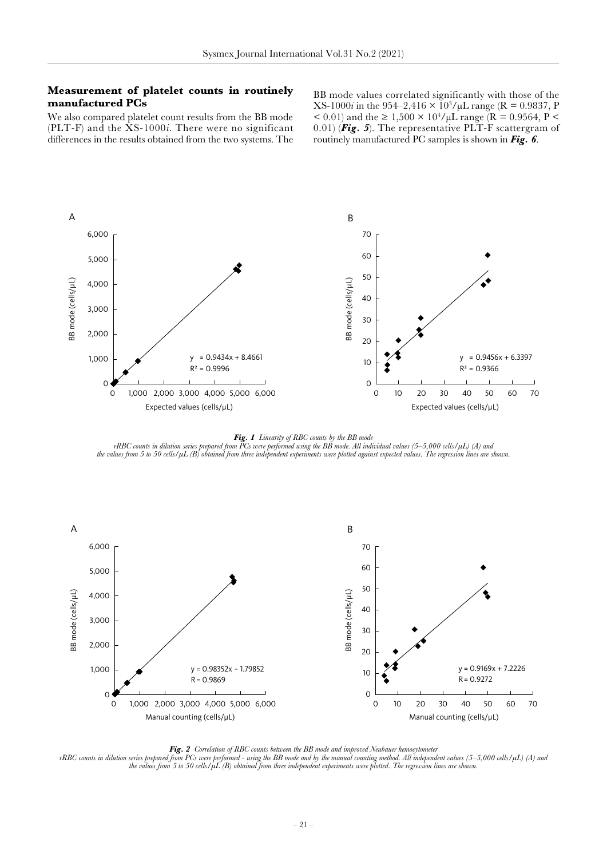### <span id="page-3-0"></span>**Measurement of platelet counts in routinely manufactured PCs**

BB mode values correlated significantly with those of the  $XS-1000i$  in the 954–2,416  $\times$  10<sup>3</sup>/ $\mu$ L range (R = 0.9837, P < 0.01) and the ≥ 1,500  $\times$  10<sup>4</sup>/µL range (R = 0.9564, P < 0.01) (*[Fig. 5](#page-6-0)*). The representative PLT-F scattergram of routinely manufactured PC samples is shown in *[Fig. 6](#page-6-0)*.

We also compared platelet count results from the BB mode (PLT-F) and the XS-1000*i*. There were no significant differences in the results obtained from the two systems. The



*Fig. 1 Linearity of RBC counts by the BB mode*

 $rRBC$  counts in dilution series prepared from PCs were performed using the BB mode. All individual values (5–5,000 cells/ $\mu$ L) (A) and *the values from 5 to 50 cells/µL (B) obtained from three independent experiments were plotted against expected values. The regression lines are shown.*





*rRBC counts in dilution series prepared from PCs were performed - using the BB mode and by the manual counting method. All independent values (5–5,000 cells/µL) (A) and the values from 5 to 50 cells/µL (B) obtained from three independent experiments were plotted. The regression lines are shown.*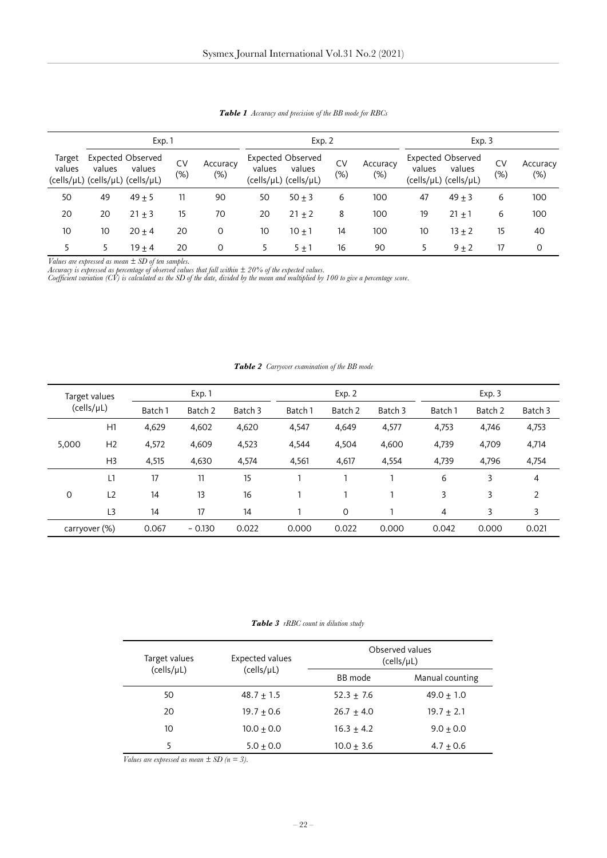<span id="page-4-0"></span>

| Exp.1            |        |                                                                        |              | Exp. 2             |        |                                                             |                     | Exp.3              |        |                                                             |              |                    |
|------------------|--------|------------------------------------------------------------------------|--------------|--------------------|--------|-------------------------------------------------------------|---------------------|--------------------|--------|-------------------------------------------------------------|--------------|--------------------|
| Target<br>values | values | <b>Expected Observed</b><br>values<br>(cells/µL) (cells/µL) (cells/µL) | CV<br>$(\%)$ | Accuracy<br>$(\%)$ | values | <b>Expected Observed</b><br>values<br>(cells/µL) (cells/µL) | <b>CV</b><br>$(\%)$ | Accuracy<br>$(\%)$ | values | <b>Expected Observed</b><br>values<br>(cells/µL) (cells/µL) | CV<br>$(\%)$ | Accuracy<br>$(\%)$ |
| 50               | 49     | $49 + 5$                                                               | 11           | 90                 | 50     | $50 + 3$                                                    | 6                   | 100                | 47     | $49 + 3$                                                    | 6            | 100                |
| 20               | 20     | $21 + 3$                                                               | 15           | 70                 | 20     | $21 + 2$                                                    | 8                   | 100                | 19     | $21 + 1$                                                    | 6            | 100                |
| 10               | 10     | $20 + 4$                                                               | 20           | 0                  | 10     | $10 + 1$                                                    | 14                  | 100                | 10     | $13 + 2$                                                    | 15           | 40                 |
|                  | 5      | $19 + 4$                                                               | 20           | 0                  |        | $5 + 1$                                                     | 16                  | 90                 |        | $9 + 2$                                                     | 17           | 0                  |

*Table 1 Accuracy and precision of the BB mode for RBCs*

*Values are expressed as mean ± SD of ten samples.*

*Accuracy is expressed as percentage of observed values that fall within ± 20% of the expected values.*

*Coefficient variation (CV) is calculated as the SD of the date, divided by the mean and multiplied by 100 to give a percentage score.*

|  | <b>Table 2</b> Carryover examination of the BB mode |  |
|--|-----------------------------------------------------|--|
|  |                                                     |  |

| Target values<br>$(cells / \mu L)$ |                | Exp. 1  |          |         | Exp. 2  |             |         | Exp.3   |         |                |
|------------------------------------|----------------|---------|----------|---------|---------|-------------|---------|---------|---------|----------------|
|                                    |                | Batch 1 | Batch 2  | Batch 3 | Batch 1 | Batch 2     | Batch 3 | Batch 1 | Batch 2 | Batch 3        |
|                                    | H1             | 4,629   | 4,602    | 4,620   | 4,547   | 4,649       | 4,577   | 4,753   | 4,746   | 4,753          |
| 5,000                              | H <sub>2</sub> | 4,572   | 4,609    | 4,523   | 4,544   | 4,504       | 4,600   | 4,739   | 4,709   | 4,714          |
|                                    | H <sub>3</sub> | 4,515   | 4,630    | 4,574   | 4,561   | 4,617       | 4,554   | 4,739   | 4,796   | 4,754          |
|                                    | L1             | 17      | 11       | 15      |         |             |         | 6       | 3       | 4              |
| 0                                  | L <sub>2</sub> | 14      | 13       | 16      |         |             |         | 3       | 3       | $\overline{2}$ |
|                                    | L3             | 14      | 17       | 14      |         | $\mathbf 0$ |         | 4       | 3       | 3              |
| carryover (%)                      |                | 0.067   | $-0.130$ | 0.022   | 0.000   | 0.022       | 0.000   | 0.042   | 0.000   | 0.021          |

#### *Table 3 rRBC count in dilution study*

| Target values | <b>Expected values</b> | Observed values<br>(cells/µL) |                 |  |  |
|---------------|------------------------|-------------------------------|-----------------|--|--|
| (cells/µL)    | (cells/µL)             | BB mode                       | Manual counting |  |  |
| 50            | $48.7 + 1.5$           | $52.3 + 7.6$                  | $49.0 + 1.0$    |  |  |
| 20            | $19.7 + 0.6$           | $26.7 + 4.0$                  | $19.7 + 2.1$    |  |  |
| 10            | $10.0 + 0.0$           | $16.3 + 4.2$                  | $9.0 + 0.0$     |  |  |
| 5             | $5.0 + 0.0$            | $10.0 + 3.6$                  | $4.7 + 0.6$     |  |  |

*Values are expressed as mean*  $\pm$  *SD* (*n* = 3).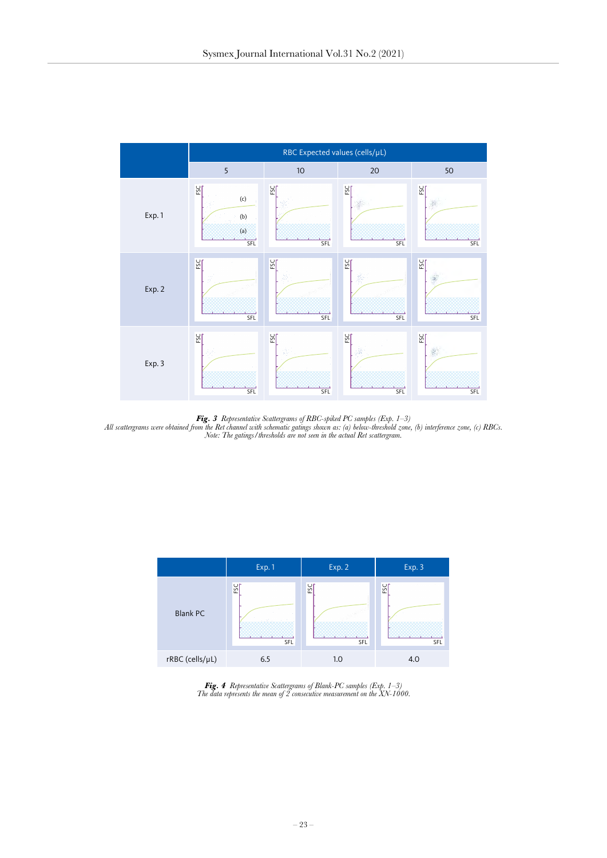<span id="page-5-0"></span>

Fig. 3 Representative Scattergrams of RBC-spiked PC samples (Exp. 1–3)<br>All scattergrams were obtained from the Ret channel with schematic gatings shown as: (a) below-threshold zone, (b) interference zone, (c) RBCs. *Note: The gatings/thresholds are not seen in the actual Ret scattergram.*



*Fig. 4 Representative Scattergrams of Blank-PC samples (Exp. 1–3) The data represents the mean of 2 consecutive measurement on the XN-1000.*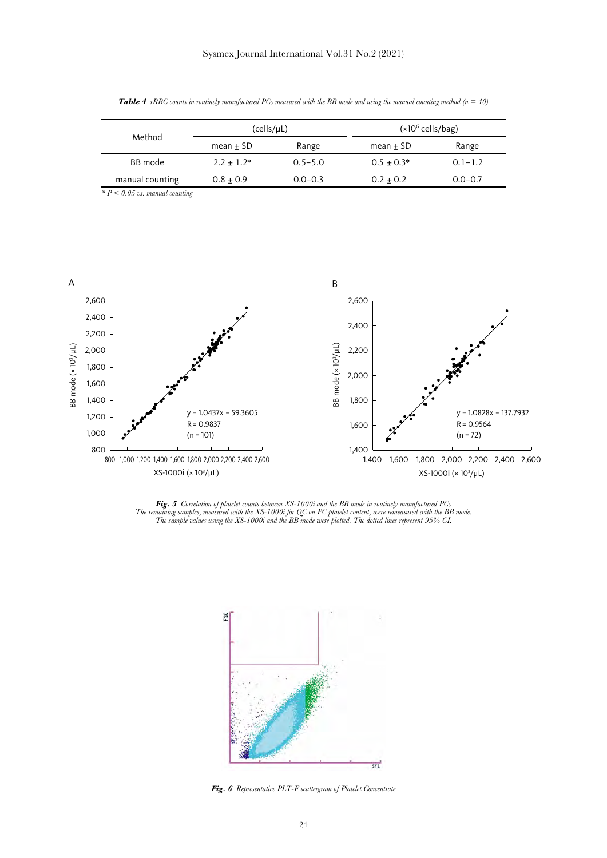| Method          | (cells/µL)   |             | $(x106$ cells/bag) |             |  |  |
|-----------------|--------------|-------------|--------------------|-------------|--|--|
|                 | $mean + SD$  | Range       | $mean + SD$        | Range       |  |  |
| BB mode         | $2.2 + 1.2*$ | $0.5 - 5.0$ | $0.5 + 0.3*$       | $0.1 - 1.2$ |  |  |
| manual counting | $0.8 + 0.9$  | $0.0 - 0.3$ | $0.2 + 0.2$        | $0.0 - 0.7$ |  |  |

<span id="page-6-0"></span>*Table 4 rRBC counts in routinely manufactured PCs measured with the BB mode and using the manual counting method (n = 40)*

*\* P < 0.05 vs. manual counting*



Fig. 5 Correlation of platelet counts between XS-1000i and the BB mode in routinely manufactured PCs<br>The remaining samples, measured with the XS-1000i for QC on PC platelet content, were remeasured with the BB mode. *The sample values using the XS-1000i and the BB mode were plotted. The dotted lines represent 95% CI.*



*Fig. 6 Representative PLT-F scattergram of Platelet Concentrate*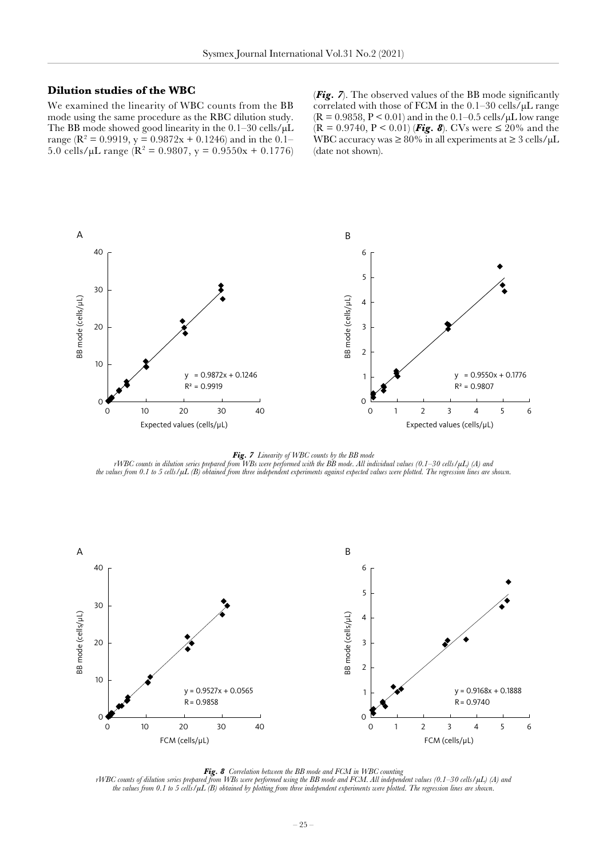#### <span id="page-7-0"></span>**Dilution studies of the WBC**

We examined the linearity of WBC counts from the BB mode using the same procedure as the RBC dilution study. The BB mode showed good linearity in the 0.1–30 cells/ $\mu$ L range ( $\mathbb{R}^2 = 0.9919$ , y = 0.9872x + 0.1246) and in the 0.1– 5.0 cells/ $\mu$ L range ( $\mathbb{R}^2 = 0.9807$ ,  $y = 0.9550x + 0.1776$ ) (*Fig. 7*). The observed values of the BB mode significantly correlated with those of FCM in the 0.1–30 cells/µL range  $(R = 0.9858, P < 0.01)$  and in the 0.1–0.5 cells/ $\mu$ L low range  $(R = 0.9740, P < 0.01)$  (**Fig. 8**). CVs were  $\leq 20\%$  and the WBC accuracy was  $\geq 80\%$  in all experiments at  $\geq 3$  cells/ $\mu$ L (date not shown).



*Fig. 7 Linearity of WBC counts by the BB mode rWBC counts in dilution series prepared from WBs were performed with the BB mode. All individual values (0.1–30 cells/µL) (A) and the values from 0.1 to 5 cells/µL (B) obtained from three independent experiments against expected values were plotted. The regression lines are shown.*



*Fig. 8 Correlation between the BB mode and FCM in WBC counting*

*rWBC counts of dilution series prepared from WBs were performed using the BB mode and FCM. All independent values (0.1–30 cells/µL) (A) and the values from 0.1 to 5 cells/µL (B) obtained by plotting from three independent experiments were plotted. The regression lines are shown.*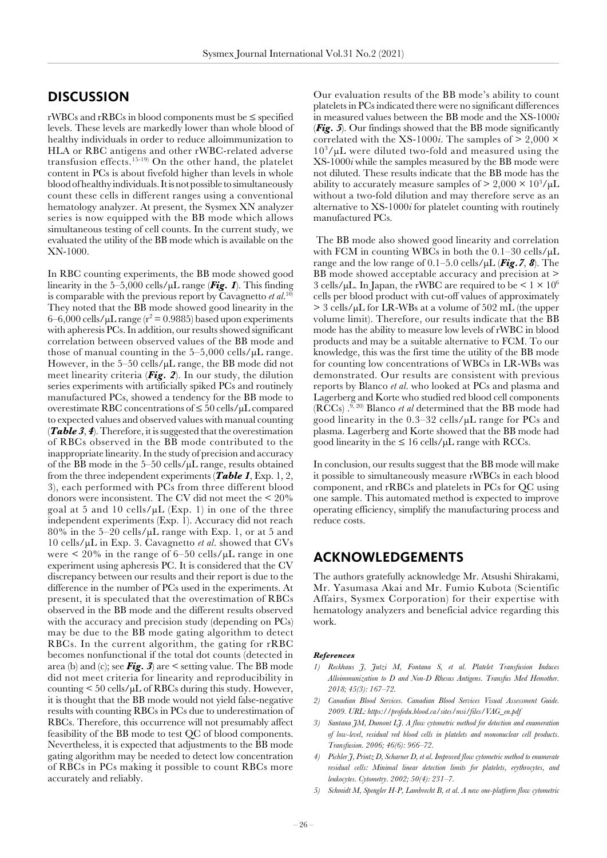### **DISCUSSION**

rWBCs and rRBCs in blood components must be ≤ specified levels. These levels are markedly lower than whole blood of healthy individuals in order to reduce alloimmunization to HLA or RBC antigens and other rWBC-related adverse transfusion effects.15-19) On the other hand, the platelet content in PCs is about fivefold higher than levels in whole blood of healthy individuals. It is not possible to simultaneously count these cells in different ranges using a conventional hematology analyzer. At present, the Sysmex XN analyzer series is now equipped with the BB mode which allows simultaneous testing of cell counts. In the current study, we evaluated the utility of the BB mode which is available on the XN-1000.

In RBC counting experiments, the BB mode showed good linearity in the 5–5,000 cells/µL range (*[Fig. 1](#page-3-0)*). This finding is comparable with the previous report by Cavagnetto *et al*. 10) They noted that the BB mode showed good linearity in the  $6-6,000$  cells/ $\mu$ L range ( $r^2 = 0.9885$ ) based upon experiments with apheresis PCs. In addition, our results showed significant correlation between observed values of the BB mode and those of manual counting in the  $5-5,000$  cells/ $\mu$ L range. However, in the 5–50 cells/µL range, the BB mode did not meet linearity criteria (*[Fig. 2](#page-3-0)*). In our study, the dilution series experiments with artificially spiked PCs and routinely manufactured PCs, showed a tendency for the BB mode to overestimate RBC concentrations of ≤ 50 cells/µL compared to expected values and observed values with manual counting (*[Table 3](#page-4-0)*, *[4](#page-6-0)*). Therefore, it is suggested that the overestimation of RBCs observed in the BB mode contributed to the inappropriate linearity. In the study of precision and accuracy of the BB mode in the 5–50 cells/µL range, results obtained from the three independent experiments (*[Table 1](#page-4-0)*, Exp. 1, 2, 3), each performed with PCs from three different blood donors were inconsistent. The CV did not meet the < 20% goal at 5 and 10 cells/ $\mu$ L (Exp. 1) in one of the three independent experiments (Exp. 1). Accuracy did not reach  $80\%$  in the 5–20 cells/ $\mu$ L range with Exp. 1, or at 5 and 10 cells/µL in Exp. 3. Cavagnetto *et al.* showed that CVs were  $\leq 20\%$  in the range of 6–50 cells/ $\mu$ L range in one experiment using apheresis PC. It is considered that the CV discrepancy between our results and their report is due to the difference in the number of PCs used in the experiments. At present, it is speculated that the overestimation of RBCs observed in the BB mode and the different results observed with the accuracy and precision study (depending on PCs) may be due to the BB mode gating algorithm to detect RBCs. In the current algorithm, the gating for rRBC becomes nonfunctional if the total dot counts (detected in area (b) and (c); see *[Fig. 3](#page-5-0)*) are < setting value. The BB mode did not meet criteria for linearity and reproducibility in counting  $\leq 50$  cells/ $\mu$ L of RBCs during this study. However, it is thought that the BB mode would not yield false-negative results with counting RBCs in PCs due to underestimation of RBCs. Therefore, this occurrence will not presumably affect feasibility of the BB mode to test QC of blood components. Nevertheless, it is expected that adjustments to the BB mode gating algorithm may be needed to detect low concentration of RBCs in PCs making it possible to count RBCs more accurately and reliably.

Our evaluation results of the BB mode's ability to count platelets in PCs indicated there were no significant differences in measured values between the BB mode and the XS-1000*i*  (*[Fig. 5](#page-6-0)*). Our findings showed that the BB mode significantly correlated with the XS-1000*i*. The samples of  $> 2,000 \times$ 103 /µL were diluted two-fold and measured using the XS-1000*i* while the samples measured by the BB mode were not diluted. These results indicate that the BB mode has the ability to accurately measure samples of  $> 2,000 \times 10^3/\mu L$ without a two-fold dilution and may therefore serve as an alternative to XS-1000*i* for platelet counting with routinely manufactured PCs.

 The BB mode also showed good linearity and correlation with FCM in counting WBCs in both the  $0.1-30$  cells/ $\mu$ L range and the low range of  $0.1-5.0$  cells/ $\mu$ L (**Fig. 7, [8](#page-7-0)**). The BB mode showed acceptable accuracy and precision at  $\geq$ 3 cells/ $\mu$ L. In Japan, the rWBC are required to be  $\leq 1 \times 10^6$ cells per blood product with cut-off values of approximately > 3 cells/µL for LR-WBs at a volume of 502 mL (the upper volume limit). Therefore, our results indicate that the BB mode has the ability to measure low levels of rWBC in blood products and may be a suitable alternative to FCM. To our knowledge, this was the first time the utility of the BB mode for counting low concentrations of WBCs in LR-WBs was demonstrated. Our results are consistent with previous reports by Blanco *et al.* who looked at PCs and plasma and Lagerberg and Korte who studied red blood cell components (RCCs) .9, 20) Blanco *et al* determined that the BB mode had good linearity in the 0.3–32 cells/µL range for PCs and plasma. Lagerberg and Korte showed that the BB mode had good linearity in the  $\leq 16$  cells/ $\mu$ L range with RCCs.

In conclusion, our results suggest that the BB mode will make it possible to simultaneously measure rWBCs in each blood component, and rRBCs and platelets in PCs for QC using one sample. This automated method is expected to improve operating efficiency, simplify the manufacturing process and reduce costs.

### **ACKNOWLEDGEMENTS**

The authors gratefully acknowledge Mr. Atsushi Shirakami, Mr. Yasumasa Akai and Mr. Fumio Kubota (Scientific Affairs, Sysmex Corporation) for their expertise with hematology analyzers and beneficial advice regarding this work.

#### *References*

- *1) Reckhaus J, Jutzi M, Fontana S, et al. Platelet Transfusion Induces Alloimmunization to D and Non-D Rhesus Antigens. Transfus Med Hemother. 2018; 45(3): 167–72.*
- *2) Canadian Blood Services. Canadian Blood Services Visual Assessment Guide. 2009. URL: https://profedu.blood.ca/sites/msi/files/VAG\_en.pdf*
- *3) Santana JM, Dumont LJ. A flow cytometric method for detection and enumeration of low-level, residual red blood cells in platelets and mononuclear cell products. Transfusion. 2006; 46(6): 966–72.*
- *4) Pichler J, Printz D, Scharner D, et al. Improved flow cytometric method to enumerate residual cells: Minimal linear detection limits for platelets, erythrocytes, and leukocytes. Cytometry. 2002; 50(4): 231–7.*
- *5) Schmidt M, Spengler H-P, Lambrecht B, et al. A new one-platform flow cytometric*